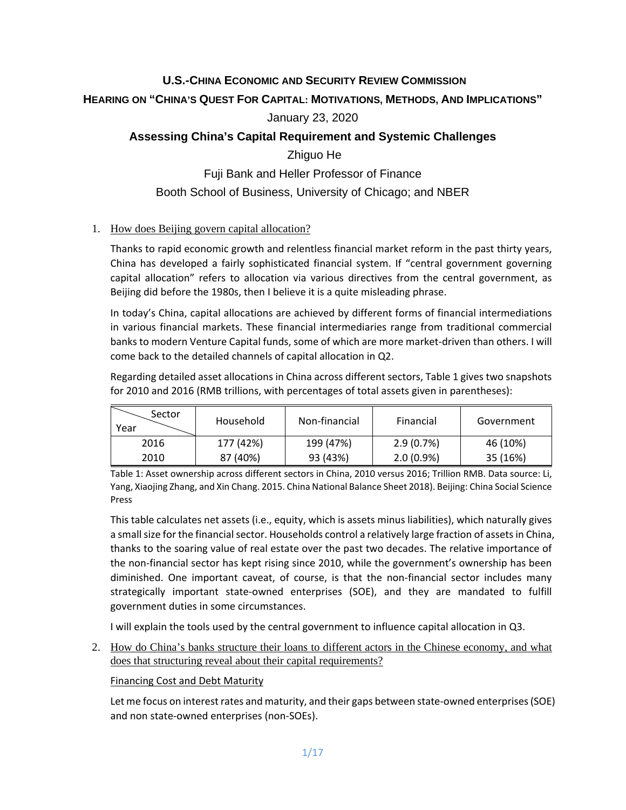# **U.S.-CHINA ECONOMIC AND SECURITY REVIEW COMMISSION**

## **HEARING ON "CHINA'S QUEST FOR CAPITAL: MOTIVATIONS, METHODS, AND IMPLICATIONS"**

## January 23, 2020

# **Assessing China's Capital Requirement and Systemic Challenges**

### Zhiguo He

Fuji Bank and Heller Professor of Finance Booth School of Business, University of Chicago; and NBER

## 1. How does Beijing govern capital allocation?

Thanks to rapid economic growth and relentless financial market reform in the past thirty years, China has developed a fairly sophisticated financial system. If "central government governing capital allocation" refers to allocation via various directives from the central government, as Beijing did before the 1980s, then I believe it is a quite misleading phrase.

In today's China, capital allocations are achieved by different forms of financial intermediations in various financial markets. These financial intermediaries range from traditional commercial banks to modern Venture Capital funds, some of which are more market-driven than others. I will come back to the detailed channels of capital allocation in Q2.

Regarding detailed asset allocations in China across different sectors, Table 1 gives two snapshots for 2010 and 2016 (RMB trillions, with percentages of total assets given in parentheses):

| Sector<br>Year | Household | Non-financial | Financial    | Government |
|----------------|-----------|---------------|--------------|------------|
| 2016           | 177 (42%) | 199 (47%)     | $2.9(0.7\%)$ | 46 (10%)   |
| 2010           | 87 (40%)  | 93 (43%)      | $2.0(0.9\%)$ | 35 (16%)   |

Table 1: Asset ownership across different sectors in China, 2010 versus 2016; Trillion RMB. Data source: Li, Yang, Xiaojing Zhang, and Xin Chang. 2015. China National Balance Sheet 2018). Beijing: China Social Science Press

This table calculates net assets (i.e., equity, which is assets minus liabilities), which naturally gives a small size for the financial sector. Households control a relatively large fraction of assets in China, thanks to the soaring value of real estate over the past two decades. The relative importance of the non-financial sector has kept rising since 2010, while the government's ownership has been diminished. One important caveat, of course, is that the non-financial sector includes many strategically important state-owned enterprises (SOE), and they are mandated to fulfill government duties in some circumstances.

I will explain the tools used by the central government to influence capital allocation in Q3.

2. How do China's banks structure their loans to different actors in the Chinese economy, and what does that structuring reveal about their capital requirements?

#### Financing Cost and Debt Maturity

Let me focus on interest rates and maturity, and their gaps between state-owned enterprises (SOE) and non state-owned enterprises (non-SOEs).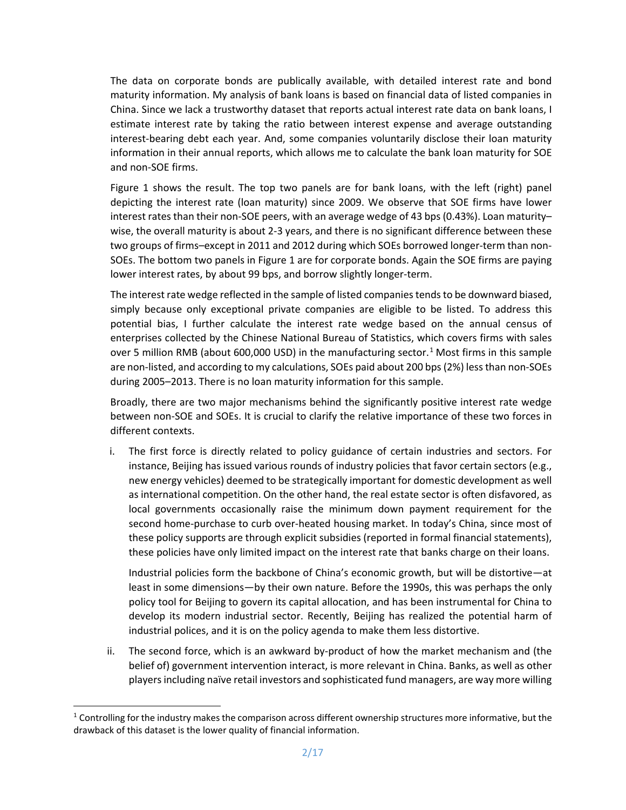The data on corporate bonds are publically available, with detailed interest rate and bond maturity information. My analysis of bank loans is based on financial data of listed companies in China. Since we lack a trustworthy dataset that reports actual interest rate data on bank loans, I estimate interest rate by taking the ratio between interest expense and average outstanding interest-bearing debt each year. And, some companies voluntarily disclose their loan maturity information in their annual reports, which allows me to calculate the bank loan maturity for SOE and non-SOE firms.

Figure 1 shows the result. The top two panels are for bank loans, with the left (right) panel depicting the interest rate (loan maturity) since 2009. We observe that SOE firms have lower interest rates than their non-SOE peers, with an average wedge of 43 bps (0.43%). Loan maturity– wise, the overall maturity is about 2-3 years, and there is no significant difference between these two groups of firms–except in 2011 and 2012 during which SOEs borrowed longer-term than non-SOEs. The bottom two panels in Figure 1 are for corporate bonds. Again the SOE firms are paying lower interest rates, by about 99 bps, and borrow slightly longer-term.

The interest rate wedge reflected in the sample of listed companies tendsto be downward biased, simply because only exceptional private companies are eligible to be listed. To address this potential bias, I further calculate the interest rate wedge based on the annual census of enterprises collected by the Chinese National Bureau of Statistics, which covers firms with sales over 5 million RMB (about 600,000 USD) in the manufacturing sector.<sup>[1](#page-1-0)</sup> Most firms in this sample are non-listed, and according to my calculations, SOEs paid about 200 bps(2%) less than non-SOEs during 2005–2013. There is no loan maturity information for this sample.

Broadly, there are two major mechanisms behind the significantly positive interest rate wedge between non-SOE and SOEs. It is crucial to clarify the relative importance of these two forces in different contexts.

i. The first force is directly related to policy guidance of certain industries and sectors. For instance, Beijing has issued various rounds of industry policies that favor certain sectors (e.g., new energy vehicles) deemed to be strategically important for domestic development as well as international competition. On the other hand, the real estate sector is often disfavored, as local governments occasionally raise the minimum down payment requirement for the second home-purchase to curb over-heated housing market. In today's China, since most of these policy supports are through explicit subsidies (reported in formal financial statements), these policies have only limited impact on the interest rate that banks charge on their loans.

Industrial policies form the backbone of China's economic growth, but will be distortive—at least in some dimensions—by their own nature. Before the 1990s, this was perhaps the only policy tool for Beijing to govern its capital allocation, and has been instrumental for China to develop its modern industrial sector. Recently, Beijing has realized the potential harm of industrial polices, and it is on the policy agenda to make them less distortive.

ii. The second force, which is an awkward by-product of how the market mechanism and (the belief of) government intervention interact, is more relevant in China. Banks, as well as other players including naïve retail investors and sophisticated fund managers, are way more willing

<span id="page-1-0"></span> $1$  Controlling for the industry makes the comparison across different ownership structures more informative, but the drawback of this dataset is the lower quality of financial information.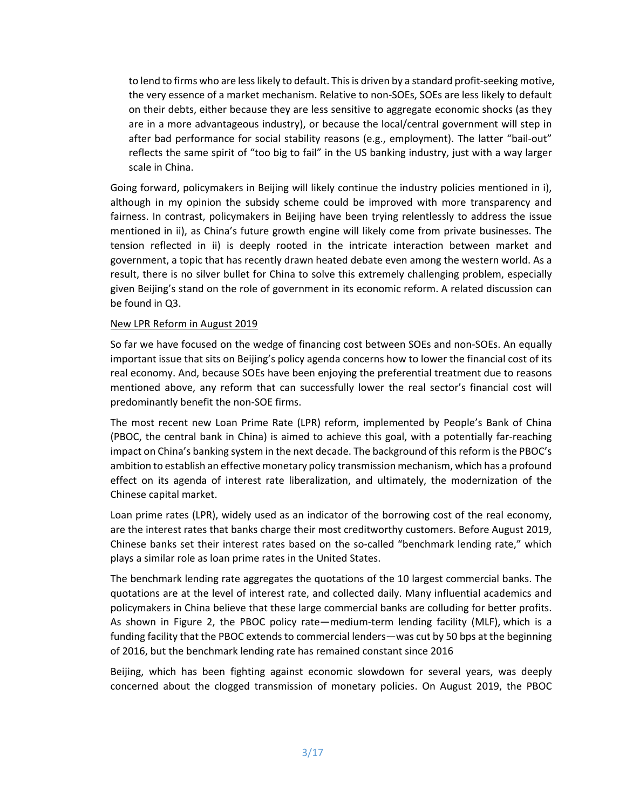to lend to firms who are less likely to default. This is driven by a standard profit-seeking motive, the very essence of a market mechanism. Relative to non-SOEs, SOEs are less likely to default on their debts, either because they are less sensitive to aggregate economic shocks (as they are in a more advantageous industry), or because the local/central government will step in after bad performance for social stability reasons (e.g., employment). The latter "bail-out" reflects the same spirit of "too big to fail" in the US banking industry, just with a way larger scale in China.

Going forward, policymakers in Beijing will likely continue the industry policies mentioned in i), although in my opinion the subsidy scheme could be improved with more transparency and fairness. In contrast, policymakers in Beijing have been trying relentlessly to address the issue mentioned in ii), as China's future growth engine will likely come from private businesses. The tension reflected in ii) is deeply rooted in the intricate interaction between market and government, a topic that has recently drawn heated debate even among the western world. As a result, there is no silver bullet for China to solve this extremely challenging problem, especially given Beijing's stand on the role of government in its economic reform. A related discussion can be found in Q3.

#### New LPR Reform in August 2019

So far we have focused on the wedge of financing cost between SOEs and non-SOEs. An equally important issue that sits on Beijing's policy agenda concerns how to lower the financial cost of its real economy. And, because SOEs have been enjoying the preferential treatment due to reasons mentioned above, any reform that can successfully lower the real sector's financial cost will predominantly benefit the non-SOE firms.

The most recent new Loan Prime Rate (LPR) reform, implemented by People's Bank of China (PBOC, the central bank in China) is aimed to achieve this goal, with a potentially far-reaching impact on China's banking system in the next decade. The background of this reform is the PBOC's ambition to establish an effective monetary policy transmission mechanism, which has a profound effect on its agenda of interest rate liberalization, and ultimately, the modernization of the Chinese capital market.

Loan prime rates (LPR), widely used as an indicator of the borrowing cost of the real economy, are the interest rates that banks charge their most creditworthy customers. Before August 2019, Chinese banks set their interest rates based on the so-called "benchmark lending rate," which plays a similar role as loan prime rates in the United States.

The benchmark lending rate aggregates the quotations of the 10 largest commercial banks. The quotations are at the level of interest rate, and collected daily. Many influential academics and policymakers in China believe that these large commercial banks are colluding for better profits. As shown in Figure 2, the PBOC policy rate—medium-term lending facility (MLF), which is [a](https://www.cnbc.com/2018/08/06/china-monetary-policy-how-pboc-controls-money-supply-interest-rate.html)  [funding facility that the PBOC extends to commercial lenders—](https://www.cnbc.com/2018/08/06/china-monetary-policy-how-pboc-controls-money-supply-interest-rate.html)was cut by 50 bps at the beginning of 2016, but the benchmark lending rate has remained constant since 2016

Beijing, which has been fighting against economic slowdown for several years, was deeply concerned about the clogged transmission of monetary policies. On August 2019, the PBOC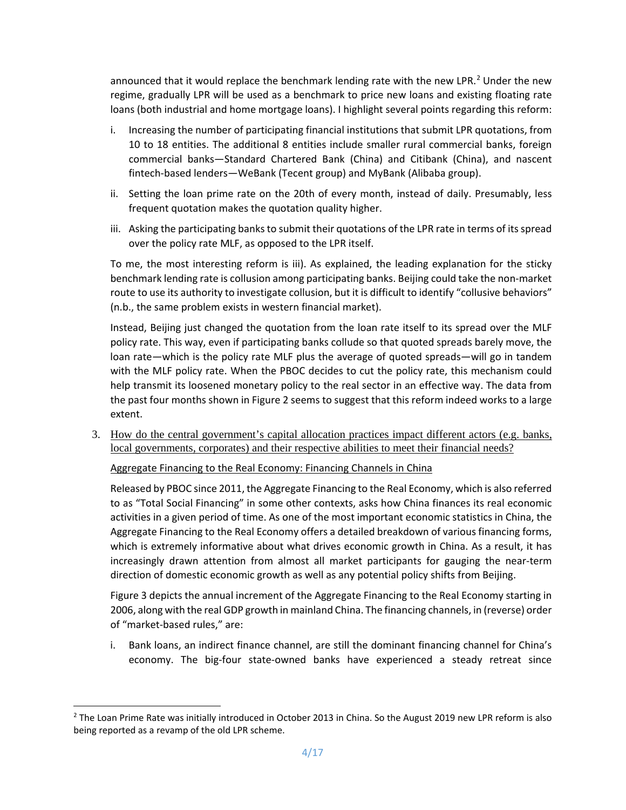announced that it would replace the benchmark lending rate with the new LPR.<sup>[2](#page-3-0)</sup> Under the new regime, gradually LPR will be used as a benchmark to price new loans and existing floating rate loans (both industrial and home mortgage loans). I highlight several points regarding this reform:

- i. Increasing the number of participating financial institutions that submit LPR quotations, from 10 to 18 entities. The additional 8 entities include smaller rural commercial banks, foreign commercial banks—Standard Chartered Bank (China) and Citibank (China), and nascent fintech-based lenders—WeBank (Tecent group) and MyBank (Alibaba group).
- ii. Setting the loan prime rate on the 20th of every month, instead of daily. Presumably, less frequent quotation makes the quotation quality higher.
- iii. Asking the participating banks to submit their quotations of the LPR rate in terms of itsspread over the policy rate MLF, as opposed to the LPR itself.

To me, the most interesting reform is iii). As explained, the leading explanation for the sticky benchmark lending rate is collusion among participating banks. Beijing could take the non-market route to use its authority to investigate collusion, but it is difficult to identify "collusive behaviors" (n.b., the same problem exists in western financial market).

Instead, Beijing just changed the quotation from the loan rate itself to its spread over the MLF policy rate. This way, even if participating banks collude so that quoted spreads barely move, the loan rate—which is the policy rate MLF plus the average of quoted spreads—will go in tandem with the MLF policy rate. When the PBOC decides to cut the policy rate, this mechanism could help transmit its loosened monetary policy to the real sector in an effective way. The data from the past four months shown in Figure 2 seems to suggest that this reform indeed works to a large extent.

3. How do the central government's capital allocation practices impact different actors (e.g. banks, local governments, corporates) and their respective abilities to meet their financial needs?

Aggregate Financing to the Real Economy: Financing Channels in China

Released by PBOC since 2011, the Aggregate Financing to the Real Economy, which is also referred to as "Total Social Financing" in some other contexts, asks how China finances its real economic activities in a given period of time. As one of the most important economic statistics in China, the Aggregate Financing to the Real Economy offers a detailed breakdown of various financing forms, which is extremely informative about what drives economic growth in China. As a result, it has increasingly drawn attention from almost all market participants for gauging the near-term direction of domestic economic growth as well as any potential policy shifts from Beijing.

Figure 3 depicts the annual increment of the Aggregate Financing to the Real Economy starting in 2006, along with the real GDP growth in mainland China. The financing channels, in (reverse) order of "market-based rules," are:

i. Bank loans, an indirect finance channel, are still the dominant financing channel for China's economy. The big-four state-owned banks have experienced a steady retreat since

<span id="page-3-0"></span> $2$  The Loan Prime Rate was initially introduced in October 2013 in China. So the August 2019 new LPR reform is also being reported as a revamp of the old LPR scheme.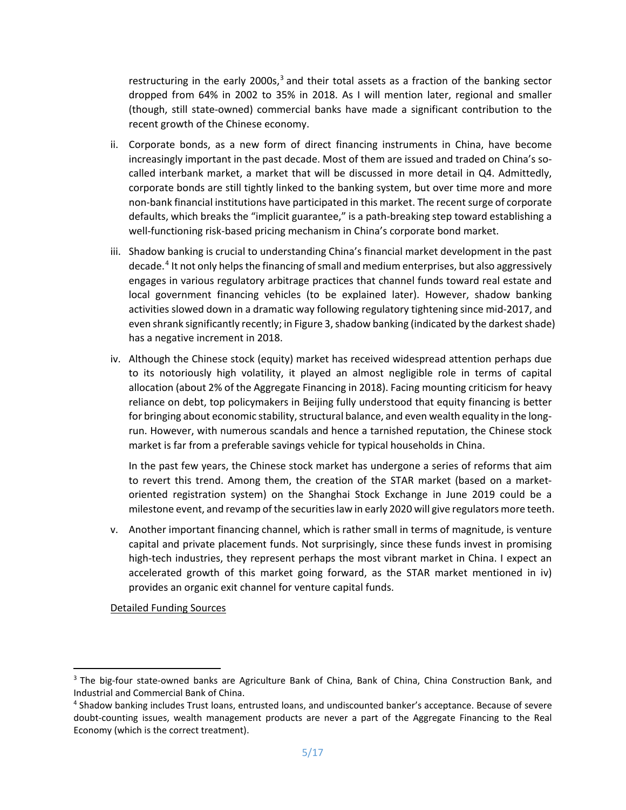restructuring in the early 2000s,<sup>[3](#page-4-0)</sup> and their total assets as a fraction of the banking sector dropped from 64% in 2002 to 35% in 2018. As I will mention later, regional and smaller (though, still state-owned) commercial banks have made a significant contribution to the recent growth of the Chinese economy.

- ii. Corporate bonds, as a new form of direct financing instruments in China, have become increasingly important in the past decade. Most of them are issued and traded on China's socalled interbank market, a market that will be discussed in more detail in Q4. Admittedly, corporate bonds are still tightly linked to the banking system, but over time more and more non-bank financial institutions have participated in this market. The recent surge of corporate defaults, which breaks the "implicit guarantee," is a path-breaking step toward establishing a well-functioning risk-based pricing mechanism in China's corporate bond market.
- iii. Shadow banking is crucial to understanding China's financial market development in the past decade.[4](#page-4-1) It not only helps the financing of small and medium enterprises, but also aggressively engages in various regulatory arbitrage practices that channel funds toward real estate and local government financing vehicles (to be explained later). However, shadow banking activities slowed down in a dramatic way following regulatory tightening since mid-2017, and even shrank significantly recently; in Figure 3, shadow banking (indicated by the darkest shade) has a negative increment in 2018.
- iv. Although the Chinese stock (equity) market has received widespread attention perhaps due to its notoriously high volatility, it played an almost negligible role in terms of capital allocation (about 2% of the Aggregate Financing in 2018). Facing mounting criticism for heavy reliance on debt, top policymakers in Beijing fully understood that equity financing is better for bringing about economic stability, structural balance, and even wealth equality in the longrun. However, with numerous scandals and hence a tarnished reputation, the Chinese stock market is far from a preferable savings vehicle for typical households in China.

In the past few years, the Chinese stock market has undergone a series of reforms that aim to revert this trend. Among them, the creation of the STAR market (based on a marketoriented registration system) on the Shanghai Stock Exchange in June 2019 could be a milestone event, and revamp of the securities law in early 2020 will give regulators more teeth.

v. Another important financing channel, which is rather small in terms of magnitude, is venture capital and private placement funds. Not surprisingly, since these funds invest in promising high-tech industries, they represent perhaps the most vibrant market in China. I expect an accelerated growth of this market going forward, as the STAR market mentioned in iv) provides an organic exit channel for venture capital funds.

Detailed Funding Sources

<span id="page-4-0"></span><sup>&</sup>lt;sup>3</sup> The big-four state-owned banks are Agriculture Bank of China, Bank of China, China Construction Bank, and Industrial and Commercial Bank of China.

<span id="page-4-1"></span><sup>4</sup> Shadow banking includes Trust loans, entrusted loans, and undiscounted banker's acceptance. Because of severe doubt-counting issues, wealth management products are never a part of the Aggregate Financing to the Real Economy (which is the correct treatment).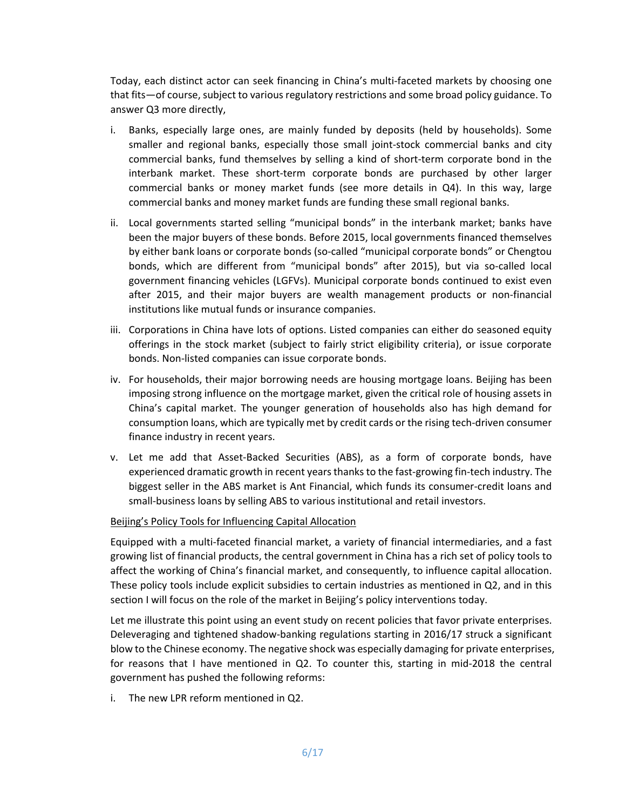Today, each distinct actor can seek financing in China's multi-faceted markets by choosing one that fits—of course, subject to various regulatory restrictions and some broad policy guidance. To answer Q3 more directly,

- i. Banks, especially large ones, are mainly funded by deposits (held by households). Some smaller and regional banks, especially those small joint-stock commercial banks and city commercial banks, fund themselves by selling a kind of short-term corporate bond in the interbank market. These short-term corporate bonds are purchased by other larger commercial banks or money market funds (see more details in Q4). In this way, large commercial banks and money market funds are funding these small regional banks.
- ii. Local governments started selling "municipal bonds" in the interbank market; banks have been the major buyers of these bonds. Before 2015, local governments financed themselves by either bank loans or corporate bonds (so-called "municipal corporate bonds" or Chengtou bonds, which are different from "municipal bonds" after 2015), but via so-called local government financing vehicles (LGFVs). Municipal corporate bonds continued to exist even after 2015, and their major buyers are wealth management products or non-financial institutions like mutual funds or insurance companies.
- iii. Corporations in China have lots of options. Listed companies can either do seasoned equity offerings in the stock market (subject to fairly strict eligibility criteria), or issue corporate bonds. Non-listed companies can issue corporate bonds.
- iv. For households, their major borrowing needs are housing mortgage loans. Beijing has been imposing strong influence on the mortgage market, given the critical role of housing assets in China's capital market. The younger generation of households also has high demand for consumption loans, which are typically met by credit cards or the rising tech-driven consumer finance industry in recent years.
- v. Let me add that Asset-Backed Securities (ABS), as a form of corporate bonds, have experienced dramatic growth in recent years thanks to the fast-growing fin-tech industry. The biggest seller in the ABS market is Ant Financial, which funds its consumer-credit loans and small-business loans by selling ABS to various institutional and retail investors.

## Beijing's Policy Tools for Influencing Capital Allocation

Equipped with a multi-faceted financial market, a variety of financial intermediaries, and a fast growing list of financial products, the central government in China has a rich set of policy tools to affect the working of China's financial market, and consequently, to influence capital allocation. These policy tools include explicit subsidies to certain industries as mentioned in Q2, and in this section I will focus on the role of the market in Beijing's policy interventions today.

Let me illustrate this point using an event study on recent policies that favor private enterprises. Deleveraging and tightened shadow-banking regulations starting in 2016/17 struck a significant blow to the Chinese economy. The negative shock was especially damaging for private enterprises, for reasons that I have mentioned in Q2. To counter this, starting in mid-2018 the central government has pushed the following reforms:

i. The new LPR reform mentioned in Q2.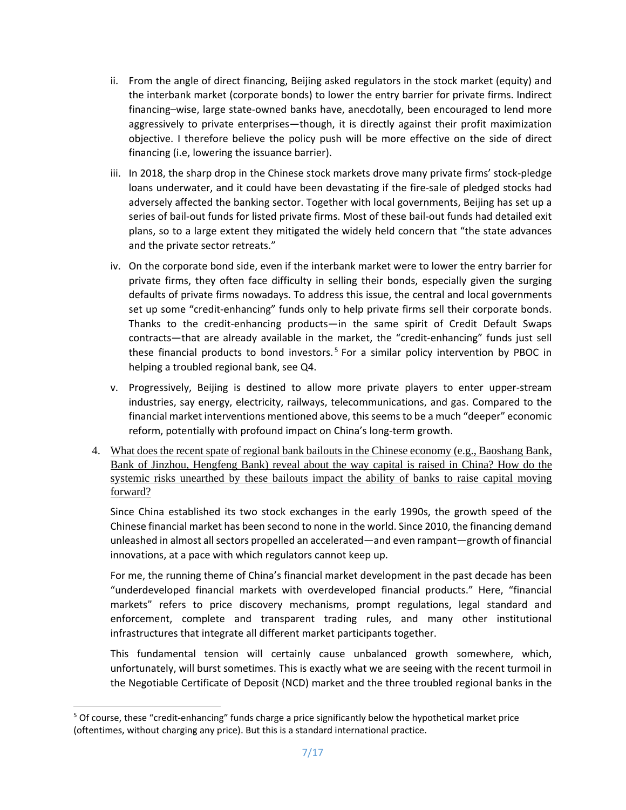- ii. From the angle of direct financing, Beijing asked regulators in the stock market (equity) and the interbank market (corporate bonds) to lower the entry barrier for private firms. Indirect financing–wise, large state-owned banks have, anecdotally, been encouraged to lend more aggressively to private enterprises—though, it is directly against their profit maximization objective. I therefore believe the policy push will be more effective on the side of direct financing (i.e, lowering the issuance barrier).
- iii. In 2018, the sharp drop in the Chinese stock markets drove many private firms' stock-pledge loans underwater, and it could have been devastating if the fire-sale of pledged stocks had adversely affected the banking sector. Together with local governments, Beijing has set up a series of bail-out funds for listed private firms. Most of these bail-out funds had detailed exit plans, so to a large extent they mitigated the widely held concern that "the state advances and the private sector retreats."
- iv. On the corporate bond side, even if the interbank market were to lower the entry barrier for private firms, they often face difficulty in selling their bonds, especially given the surging defaults of private firms nowadays. To address this issue, the central and local governments set up some "credit-enhancing" funds only to help private firms sell their corporate bonds. Thanks to the credit-enhancing products—in the same spirit of Credit Default Swaps contracts—that are already available in the market, the "credit-enhancing" funds just sell these financial products to bond investors.<sup>[5](#page-6-0)</sup> For a similar policy intervention by PBOC in helping a troubled regional bank, see Q4.
- v. Progressively, Beijing is destined to allow more private players to enter upper-stream industries, say energy, electricity, railways, telecommunications, and gas. Compared to the financial market interventions mentioned above, this seems to be a much "deeper" economic reform, potentially with profound impact on China's long-term growth.
- 4. What does the recent spate of regional bank bailouts in the Chinese economy (e.g., Baoshang Bank, Bank of Jinzhou, Hengfeng Bank) reveal about the way capital is raised in China? How do the systemic risks unearthed by these bailouts impact the ability of banks to raise capital moving forward?

Since China established its two stock exchanges in the early 1990s, the growth speed of the Chinese financial market has been second to none in the world. Since 2010, the financing demand unleashed in almost all sectors propelled an accelerated—and even rampant—growth of financial innovations, at a pace with which regulators cannot keep up.

For me, the running theme of China's financial market development in the past decade has been "underdeveloped financial markets with overdeveloped financial products." Here, "financial markets" refers to price discovery mechanisms, prompt regulations, legal standard and enforcement, complete and transparent trading rules, and many other institutional infrastructures that integrate all different market participants together.

This fundamental tension will certainly cause unbalanced growth somewhere, which, unfortunately, will burst sometimes. This is exactly what we are seeing with the recent turmoil in the Negotiable Certificate of Deposit (NCD) market and the three troubled regional banks in the

<span id="page-6-0"></span> <sup>5</sup> Of course, these "credit-enhancing" funds charge a price significantly below the hypothetical market price (oftentimes, without charging any price). But this is a standard international practice.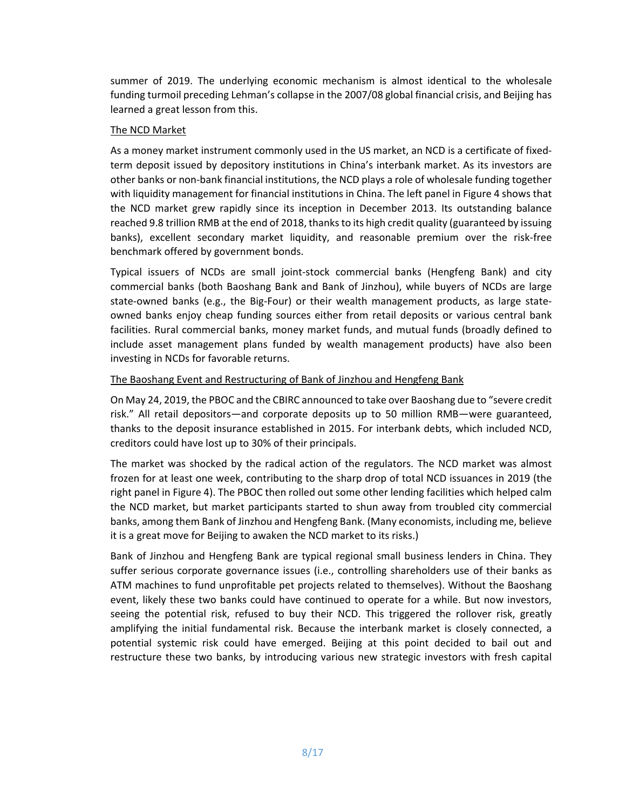summer of 2019. The underlying economic mechanism is almost identical to the wholesale funding turmoil preceding Lehman's collapse in the 2007/08 global financial crisis, and Beijing has learned a great lesson from this.

## The NCD Market

As a money market instrument commonly used in the US market, an NCD is a certificate of fixedterm deposit issued by depository institutions in China's interbank market. As its investors are other banks or non-bank financial institutions, the NCD plays a role of wholesale funding together with liquidity management for financial institutions in China. The left panel in Figure 4 shows that the NCD market grew rapidly since its inception in December 2013. Its outstanding balance reached 9.8 trillion RMB at the end of 2018, thanks to its high credit quality (guaranteed by issuing banks), excellent secondary market liquidity, and reasonable premium over the risk-free benchmark offered by government bonds.

Typical issuers of NCDs are small joint-stock commercial banks (Hengfeng Bank) and city commercial banks (both Baoshang Bank and Bank of Jinzhou), while buyers of NCDs are large state-owned banks (e.g., the Big-Four) or their wealth management products, as large stateowned banks enjoy cheap funding sources either from retail deposits or various central bank facilities. Rural commercial banks, money market funds, and mutual funds (broadly defined to include asset management plans funded by wealth management products) have also been investing in NCDs for favorable returns.

## The Baoshang Event and Restructuring of Bank of Jinzhou and Hengfeng Bank

On May 24, 2019, the PBOC and the CBIRC announced to take over Baoshang due to "severe credit risk." All retail depositors—and corporate deposits up to 50 million RMB—were guaranteed, thanks to the deposit insurance established in 2015. For interbank debts, which included NCD, creditors could have lost up to 30% of their principals.

The market was shocked by the radical action of the regulators. The NCD market was almost frozen for at least one week, contributing to the sharp drop of total NCD issuances in 2019 (the right panel in Figure 4). The PBOC then rolled out some other lending facilities which helped calm the NCD market, but market participants started to shun away from troubled city commercial banks, among them Bank of Jinzhou and Hengfeng Bank. (Many economists, including me, believe it is a great move for Beijing to awaken the NCD market to its risks.)

Bank of Jinzhou and Hengfeng Bank are typical regional small business lenders in China. They suffer serious corporate governance issues (i.e., controlling shareholders use of their banks as ATM machines to fund unprofitable pet projects related to themselves). Without the Baoshang event, likely these two banks could have continued to operate for a while. But now investors, seeing the potential risk, refused to buy their NCD. This triggered the rollover risk, greatly amplifying the initial fundamental risk. Because the interbank market is closely connected, a potential systemic risk could have emerged. Beijing at this point decided to bail out and restructure these two banks, by introducing various new strategic investors with fresh capital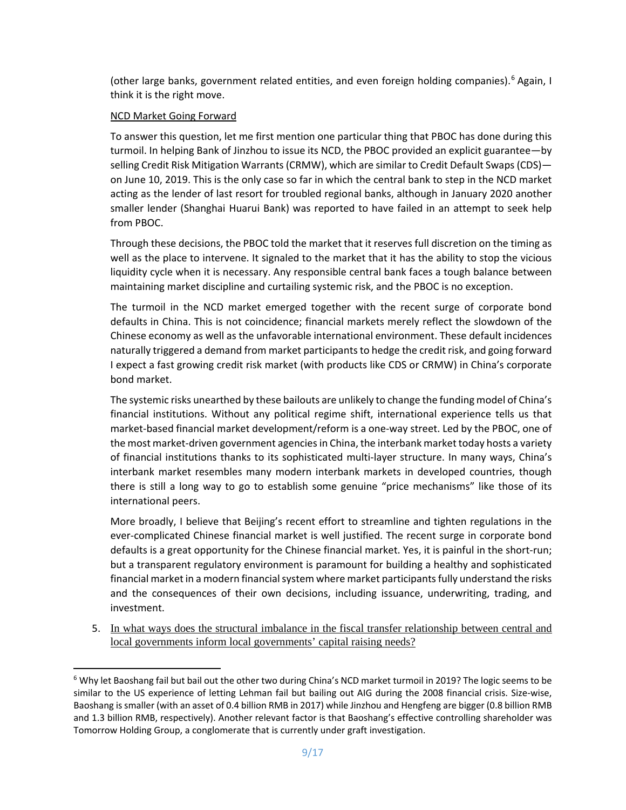(other large banks, government related entities, and even foreign holding companies).<sup>[6](#page-8-0)</sup> Again, I think it is the right move.

### NCD Market Going Forward

To answer this question, let me first mention one particular thing that PBOC has done during this turmoil. In helping Bank of Jinzhou to issue its NCD, the PBOC provided an explicit guarantee—by selling Credit Risk Mitigation Warrants(CRMW), which are similar to Credit Default Swaps (CDS) on June 10, 2019. This is the only case so far in which the central bank to step in the NCD market acting as the lender of last resort for troubled regional banks, although in January 2020 another smaller lender (Shanghai Huarui Bank) was reported to have failed in an attempt to seek help from PBOC.

Through these decisions, the PBOC told the market that it reserves full discretion on the timing as well as the place to intervene. It signaled to the market that it has the ability to stop the vicious liquidity cycle when it is necessary. Any responsible central bank faces a tough balance between maintaining market discipline and curtailing systemic risk, and the PBOC is no exception.

The turmoil in the NCD market emerged together with the recent surge of corporate bond defaults in China. This is not coincidence; financial markets merely reflect the slowdown of the Chinese economy as well as the unfavorable international environment. These default incidences naturally triggered a demand from market participants to hedge the credit risk, and going forward I expect a fast growing credit risk market (with products like CDS or CRMW) in China's corporate bond market.

The systemic risks unearthed by these bailouts are unlikely to change the funding model of China's financial institutions. Without any political regime shift, international experience tells us that market-based financial market development/reform is a one-way street. Led by the PBOC, one of the most market-driven government agencies in China, the interbank market today hosts a variety of financial institutions thanks to its sophisticated multi-layer structure. In many ways, China's interbank market resembles many modern interbank markets in developed countries, though there is still a long way to go to establish some genuine "price mechanisms" like those of its international peers.

More broadly, I believe that Beijing's recent effort to streamline and tighten regulations in the ever-complicated Chinese financial market is well justified. The recent surge in corporate bond defaults is a great opportunity for the Chinese financial market. Yes, it is painful in the short-run; but a transparent regulatory environment is paramount for building a healthy and sophisticated financial market in a modern financial system where market participants fully understand the risks and the consequences of their own decisions, including issuance, underwriting, trading, and investment.

5. In what ways does the structural imbalance in the fiscal transfer relationship between central and local governments inform local governments' capital raising needs?

<span id="page-8-0"></span><sup>&</sup>lt;sup>6</sup> Why let Baoshang fail but bail out the other two during China's NCD market turmoil in 2019? The logic seems to be similar to the US experience of letting Lehman fail but bailing out AIG during the 2008 financial crisis. Size-wise, Baoshang is smaller (with an asset of 0.4 billion RMB in 2017) while Jinzhou and Hengfeng are bigger (0.8 billion RMB and 1.3 billion RMB, respectively). Another relevant factor is that Baoshang's effective controlling shareholder was Tomorrow Holding Group, a conglomerate that is currently under graft investigation.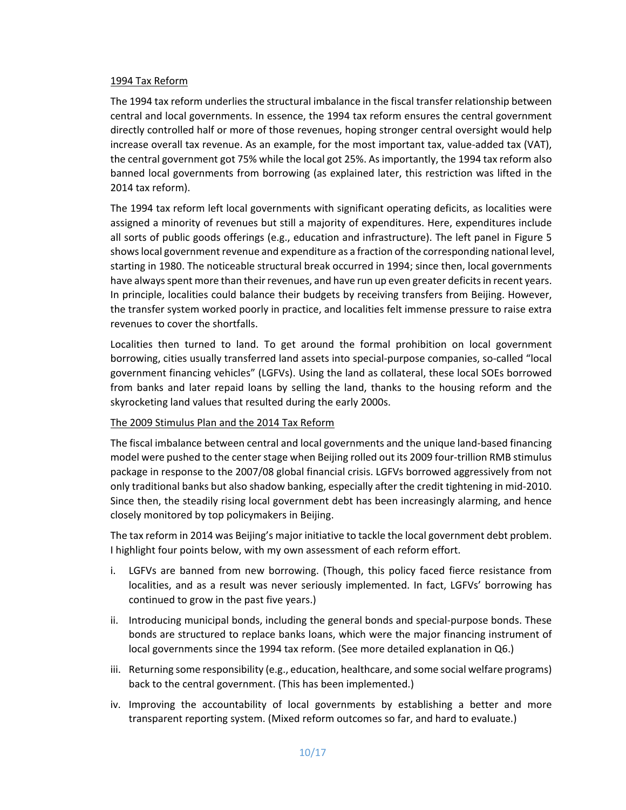#### 1994 Tax Reform

The 1994 tax reform underlies the structural imbalance in the fiscal transfer relationship between central and local governments. In essence, the 1994 tax reform ensures the central government directly controlled half or more of those revenues, hoping stronger central oversight would help increase overall tax revenue. As an example, for the most important tax, value-added tax (VAT), the central government got 75% while the local got 25%. As importantly, the 1994 tax reform also banned local governments from borrowing (as explained later, this restriction was lifted in the 2014 tax reform).

The 1994 tax reform left local governments with significant operating deficits, as localities were assigned a minority of revenues but still a majority of expenditures. Here, expenditures include all sorts of public goods offerings (e.g., education and infrastructure). The left panel in Figure 5 showslocal government revenue and expenditure as a fraction of the corresponding national level, starting in 1980. The noticeable structural break occurred in 1994; since then, local governments have always spent more than their revenues, and have run up even greater deficits in recent years. In principle, localities could balance their budgets by receiving transfers from Beijing. However, the transfer system worked poorly in practice, and localities felt immense pressure to raise extra revenues to cover the shortfalls.

Localities then turned to land. To get around the formal prohibition on local government borrowing, cities usually transferred land assets into special-purpose companies, so-called "local government financing vehicles" (LGFVs). Using the land as collateral, these local SOEs borrowed from banks and later repaid loans by selling the land, thanks to the housing reform and the skyrocketing land values that resulted during the early 2000s.

#### The 2009 Stimulus Plan and the 2014 Tax Reform

The fiscal imbalance between central and local governments and the unique land-based financing model were pushed to the center stage when Beijing rolled out its 2009 four-trillion RMB stimulus package in response to the 2007/08 global financial crisis. LGFVs borrowed aggressively from not only traditional banks but also shadow banking, especially after the credit tightening in mid-2010. Since then, the steadily rising local government debt has been increasingly alarming, and hence closely monitored by top policymakers in Beijing.

The tax reform in 2014 was Beijing's major initiative to tackle the local government debt problem. I highlight four points below, with my own assessment of each reform effort.

- i. LGFVs are banned from new borrowing. (Though, this policy faced fierce resistance from localities, and as a result was never seriously implemented. In fact, LGFVs' borrowing has continued to grow in the past five years.)
- ii. Introducing municipal bonds, including the general bonds and special-purpose bonds. These bonds are structured to replace banks loans, which were the major financing instrument of local governments since the 1994 tax reform. (See more detailed explanation in Q6.)
- iii. Returning some responsibility (e.g., education, healthcare, and some social welfare programs) back to the central government. (This has been implemented.)
- iv. Improving the accountability of local governments by establishing a better and more transparent reporting system. (Mixed reform outcomes so far, and hard to evaluate.)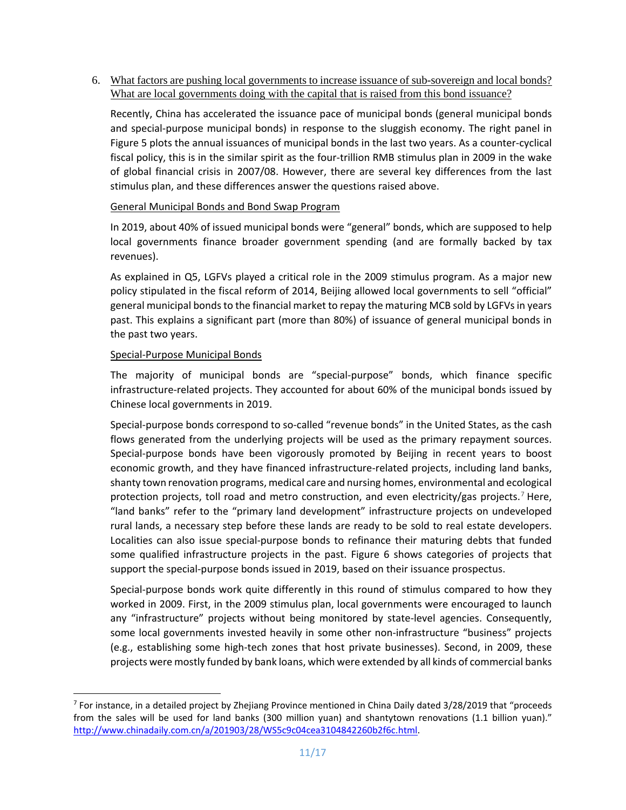6. What factors are pushing local governments to increase issuance of sub-sovereign and local bonds? What are local governments doing with the capital that is raised from this bond issuance?

Recently, China has accelerated the issuance pace of municipal bonds (general municipal bonds and special-purpose municipal bonds) in response to the sluggish economy. The right panel in Figure 5 plots the annual issuances of municipal bonds in the last two years. As a counter-cyclical fiscal policy, this is in the similar spirit as the four-trillion RMB stimulus plan in 2009 in the wake of global financial crisis in 2007/08. However, there are several key differences from the last stimulus plan, and these differences answer the questions raised above.

## General Municipal Bonds and Bond Swap Program

In 2019, about 40% of issued municipal bonds were "general" bonds, which are supposed to help local governments finance broader government spending (and are formally backed by tax revenues).

As explained in Q5, LGFVs played a critical role in the 2009 stimulus program. As a major new policy stipulated in the fiscal reform of 2014, Beijing allowed local governments to sell "official" general municipal bonds to the financial market to repay the maturing MCB sold by LGFVs in years past. This explains a significant part (more than 80%) of issuance of general municipal bonds in the past two years.

## Special-Purpose Municipal Bonds

The majority of municipal bonds are "special-purpose" bonds, which finance specific infrastructure-related projects. They accounted for about 60% of the municipal bonds issued by Chinese local governments in 2019.

Special-purpose bonds correspond to so-called "revenue bonds" in the United States, as the cash flows generated from the underlying projects will be used as the primary repayment sources. Special-purpose bonds have been vigorously promoted by Beijing in recent years to boost economic growth, and they have financed infrastructure-related projects, including land banks, shanty town renovation programs, medical care and nursing homes, environmental and ecological protection projects, toll road and metro construction, and even electricity/gas projects.<sup>[7](#page-10-0)</sup> Here, "land banks" refer to the "primary land development" infrastructure projects on undeveloped rural lands, a necessary step before these lands are ready to be sold to real estate developers. Localities can also issue special-purpose bonds to refinance their maturing debts that funded some qualified infrastructure projects in the past. Figure 6 shows categories of projects that support the special-purpose bonds issued in 2019, based on their issuance prospectus.

Special-purpose bonds work quite differently in this round of stimulus compared to how they worked in 2009. First, in the 2009 stimulus plan, local governments were encouraged to launch any "infrastructure" projects without being monitored by state-level agencies. Consequently, some local governments invested heavily in some other non-infrastructure "business" projects (e.g., establishing some high-tech zones that host private businesses). Second, in 2009, these projects were mostly funded by bank loans, which were extended by all kinds of commercial banks

<span id="page-10-0"></span> $7$  For instance, in a detailed project by Zhejiang Province mentioned in China Daily dated 3/28/2019 that "proceeds from the sales will be used for land banks (300 million yuan) and shantytown renovations (1.1 billion yuan)." [http://www.chinadaily.com.cn/a/201903/28/WS5c9c04cea3104842260b2f6c.html.](http://www.chinadaily.com.cn/a/201903/28/WS5c9c04cea3104842260b2f6c.html)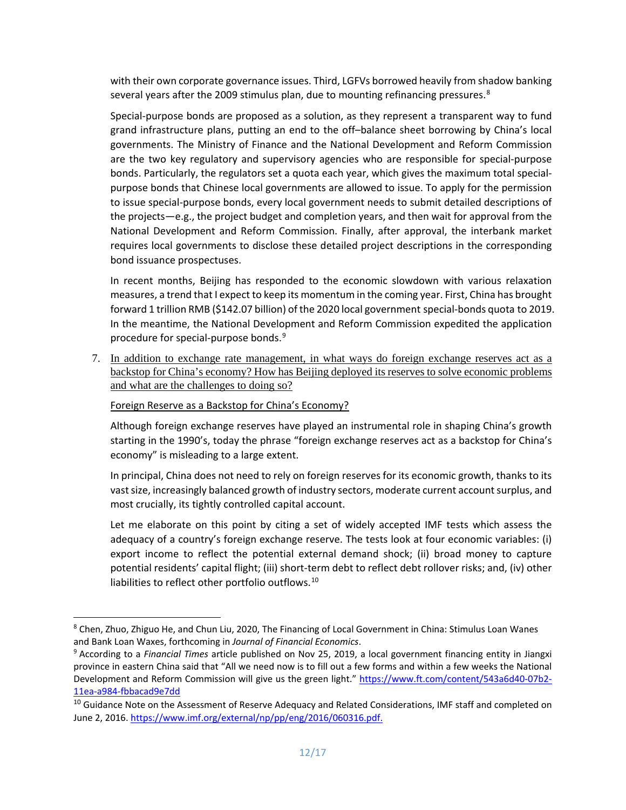with their own corporate governance issues. Third, LGFVs borrowed heavily from shadow banking several years after the 2009 stimulus plan, due to mounting refinancing pressures.<sup>[8](#page-11-0)</sup>

Special-purpose bonds are proposed as a solution, as they represent a transparent way to fund grand infrastructure plans, putting an end to the off–balance sheet borrowing by China's local governments. The Ministry of Finance and the National Development and Reform Commission are the two key regulatory and supervisory agencies who are responsible for special-purpose bonds. Particularly, the regulators set a quota each year, which gives the maximum total specialpurpose bonds that Chinese local governments are allowed to issue. To apply for the permission to issue special-purpose bonds, every local government needs to submit detailed descriptions of the projects—e.g., the project budget and completion years, and then wait for approval from the National Development and Reform Commission. Finally, after approval, the interbank market requires local governments to disclose these detailed project descriptions in the corresponding bond issuance prospectuses.

In recent months, Beijing has responded to the economic slowdown with various relaxation measures, a trend that I expect to keep its momentum in the coming year. First, China has brought forward 1 trillion RMB (\$142.07 billion) of the 2020 local government special-bonds quota to 2019. In the meantime, the National Development and Reform Commission expedited the application procedure for special-purpose bonds.<sup>[9](#page-11-1)</sup>

7. In addition to exchange rate management, in what ways do foreign exchange reserves act as a backstop for China's economy? How has Beijing deployed its reserves to solve economic problems and what are the challenges to doing so?

Foreign Reserve as a Backstop for China's Economy?

Although foreign exchange reserves have played an instrumental role in shaping China's growth starting in the 1990's, today the phrase "foreign exchange reserves act as a backstop for China's economy" is misleading to a large extent.

In principal, China does not need to rely on foreign reserves for its economic growth, thanks to its vast size, increasingly balanced growth of industry sectors, moderate current account surplus, and most crucially, its tightly controlled capital account.

Let me elaborate on this point by citing a set of widely accepted IMF tests which assess the adequacy of a country's foreign exchange reserve. The tests look at four economic variables: (i) export income to reflect the potential external demand shock; (ii) broad money to capture potential residents' capital flight; (iii) short-term debt to reflect debt rollover risks; and, (iv) other liabilities to reflect other portfolio outflows.<sup>[10](#page-11-2)</sup>

<span id="page-11-0"></span> <sup>8</sup> Chen, Zhuo, Zhiguo He, and Chun Liu, 2020, The Financing of Local Government in China: Stimulus Loan Wanes and Bank Loan Waxes, forthcoming in *Journal of Financial Economics*.

<span id="page-11-1"></span><sup>9</sup> According to a *Financial Times* article published on Nov 25, 2019, a local government financing entity in Jiangxi province in eastern China said that "All we need now is to fill out a few forms and within a few weeks the National Development and Reform Commission will give us the green light." [https://www.ft.com/content/543a6d40-07b2-](https://www.ft.com/content/543a6d40-07b2-11ea-a984-fbbacad9e7dd) [11ea-a984-fbbacad9e7dd](https://www.ft.com/content/543a6d40-07b2-11ea-a984-fbbacad9e7dd)

<span id="page-11-2"></span><sup>&</sup>lt;sup>10</sup> Guidance Note on the Assessment of Reserve Adequacy and Related Considerations, IMF staff and completed on June 2, 2016. [https://www.imf.org/external/np/pp/eng/2016/060316.pdf.](https://www.imf.org/external/np/pp/eng/2016/060316.pdf.G)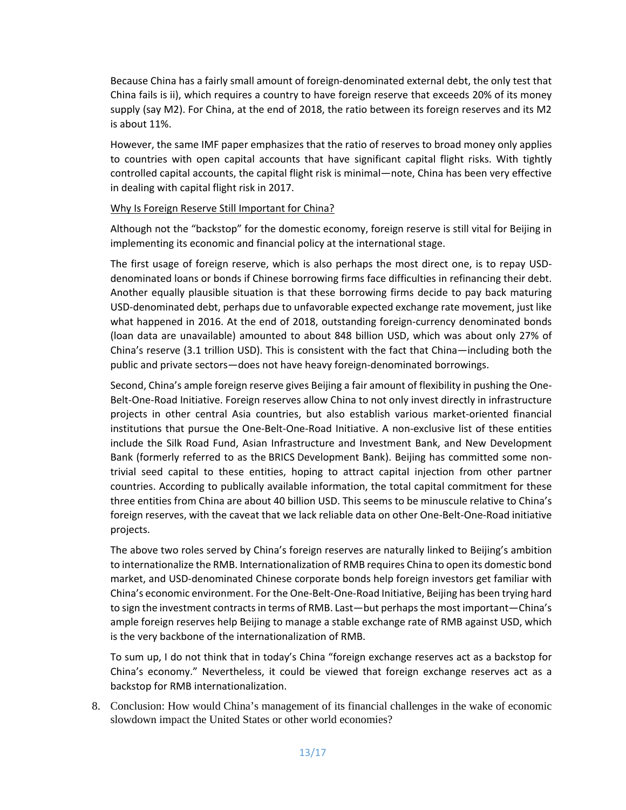Because China has a fairly small amount of foreign-denominated external debt, the only test that China fails is ii), which requires a country to have foreign reserve that exceeds 20% of its money supply (say M2). For China, at the end of 2018, the ratio between its foreign reserves and its M2 is about 11%.

However, the same IMF paper emphasizes that the ratio of reserves to broad money only applies to countries with open capital accounts that have significant capital flight risks. With tightly controlled capital accounts, the capital flight risk is minimal—note, China has been very effective in dealing with capital flight risk in 2017.

#### Why Is Foreign Reserve Still Important for China?

Although not the "backstop" for the domestic economy, foreign reserve is still vital for Beijing in implementing its economic and financial policy at the international stage.

The first usage of foreign reserve, which is also perhaps the most direct one, is to repay USDdenominated loans or bonds if Chinese borrowing firms face difficulties in refinancing their debt. Another equally plausible situation is that these borrowing firms decide to pay back maturing USD-denominated debt, perhaps due to unfavorable expected exchange rate movement, just like what happened in 2016. At the end of 2018, outstanding foreign-currency denominated bonds (loan data are unavailable) amounted to about 848 billion USD, which was about only 27% of China's reserve (3.1 trillion USD). This is consistent with the fact that China—including both the public and private sectors—does not have heavy foreign-denominated borrowings.

Second, China's ample foreign reserve gives Beijing a fair amount of flexibility in pushing the One-Belt-One-Road Initiative. Foreign reserves allow China to not only invest directly in infrastructure projects in other central Asia countries, but also establish various market-oriented financial institutions that pursue the One-Belt-One-Road Initiative. A non-exclusive list of these entities include the Silk Road Fund, Asian Infrastructure and Investment Bank, and New Development Bank (formerly referred to as the BRICS Development Bank). Beijing has committed some nontrivial seed capital to these entities, hoping to attract capital injection from other partner countries. According to publically available information, the total capital commitment for these three entities from China are about 40 billion USD. This seems to be minuscule relative to China's foreign reserves, with the caveat that we lack reliable data on other One-Belt-One-Road initiative projects.

The above two roles served by China's foreign reserves are naturally linked to Beijing's ambition to internationalize the RMB. Internationalization of RMB requires China to open its domestic bond market, and USD-denominated Chinese corporate bonds help foreign investors get familiar with China's economic environment. For the One-Belt-One-Road Initiative, Beijing has been trying hard to sign the investment contracts in terms of RMB. Last—but perhaps the most important—China's ample foreign reserves help Beijing to manage a stable exchange rate of RMB against USD, which is the very backbone of the internationalization of RMB.

To sum up, I do not think that in today's China "foreign exchange reserves act as a backstop for China's economy." Nevertheless, it could be viewed that foreign exchange reserves act as a backstop for RMB internationalization.

8. Conclusion: How would China's management of its financial challenges in the wake of economic slowdown impact the United States or other world economies?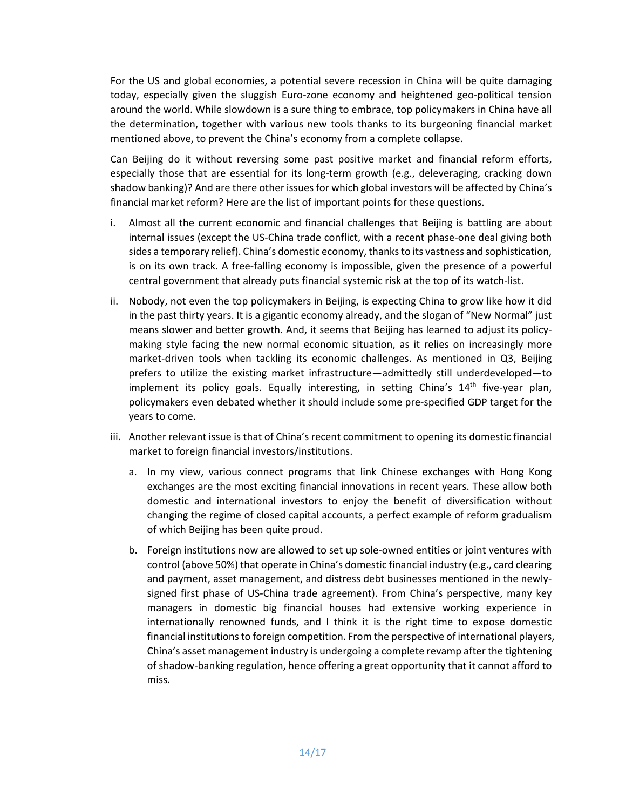For the US and global economies, a potential severe recession in China will be quite damaging today, especially given the sluggish Euro-zone economy and heightened geo-political tension around the world. While slowdown is a sure thing to embrace, top policymakers in China have all the determination, together with various new tools thanks to its burgeoning financial market mentioned above, to prevent the China's economy from a complete collapse.

Can Beijing do it without reversing some past positive market and financial reform efforts, especially those that are essential for its long-term growth (e.g., deleveraging, cracking down shadow banking)? And are there other issues for which global investors will be affected by China's financial market reform? Here are the list of important points for these questions.

- i. Almost all the current economic and financial challenges that Beijing is battling are about internal issues (except the US-China trade conflict, with a recent phase-one deal giving both sides a temporary relief). China's domestic economy, thanks to its vastness and sophistication, is on its own track. A free-falling economy is impossible, given the presence of a powerful central government that already puts financial systemic risk at the top of its watch-list.
- ii. Nobody, not even the top policymakers in Beijing, is expecting China to grow like how it did in the past thirty years. It is a gigantic economy already, and the slogan of "New Normal" just means slower and better growth. And, it seems that Beijing has learned to adjust its policymaking style facing the new normal economic situation, as it relies on increasingly more market-driven tools when tackling its economic challenges. As mentioned in Q3, Beijing prefers to utilize the existing market infrastructure—admittedly still underdeveloped—to implement its policy goals. Equally interesting, in setting China's 14<sup>th</sup> five-year plan, policymakers even debated whether it should include some pre-specified GDP target for the years to come.
- iii. Another relevant issue is that of China's recent commitment to opening its domestic financial market to foreign financial investors/institutions.
	- a. In my view, various connect programs that link Chinese exchanges with Hong Kong exchanges are the most exciting financial innovations in recent years. These allow both domestic and international investors to enjoy the benefit of diversification without changing the regime of closed capital accounts, a perfect example of reform gradualism of which Beijing has been quite proud.
	- b. Foreign institutions now are allowed to set up sole-owned entities or joint ventures with control (above 50%) that operate in China's domestic financial industry (e.g., card clearing and payment, asset management, and distress debt businesses mentioned in the newlysigned first phase of US-China trade agreement). From China's perspective, many key managers in domestic big financial houses had extensive working experience in internationally renowned funds, and I think it is the right time to expose domestic financial institutions to foreign competition. From the perspective of international players, China's asset management industry is undergoing a complete revamp after the tightening of shadow-banking regulation, hence offering a great opportunity that it cannot afford to miss.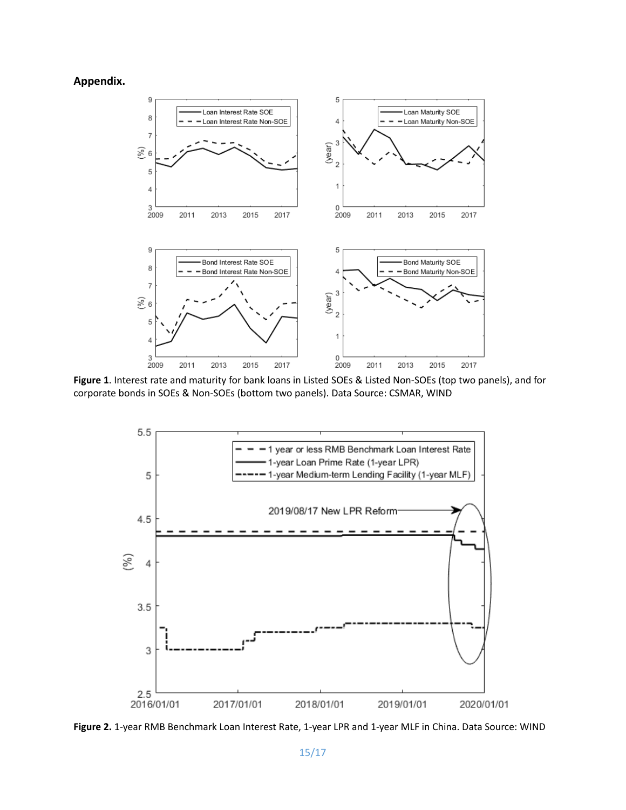**Appendix.**



**Figure 1**. Interest rate and maturity for bank loans in Listed SOEs & Listed Non-SOEs (top two panels), and for corporate bonds in SOEs & Non-SOEs (bottom two panels). Data Source: CSMAR, WIND



**Figure 2.** 1-year RMB Benchmark Loan Interest Rate, 1-year LPR and 1-year MLF in China. Data Source: WIND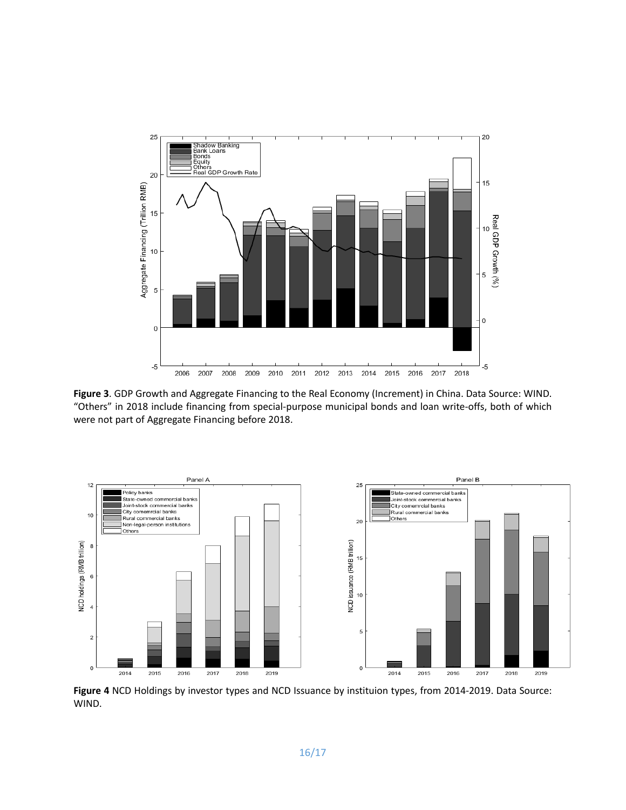

**Figure 3**. GDP Growth and Aggregate Financing to the Real Economy (Increment) in China. Data Source: WIND. "Others" in 2018 include financing from special-purpose municipal bonds and loan write-offs, both of which were not part of Aggregate Financing before 2018.



**Figure 4** NCD Holdings by investor types and NCD Issuance by instituion types, from 2014-2019. Data Source: WIND.